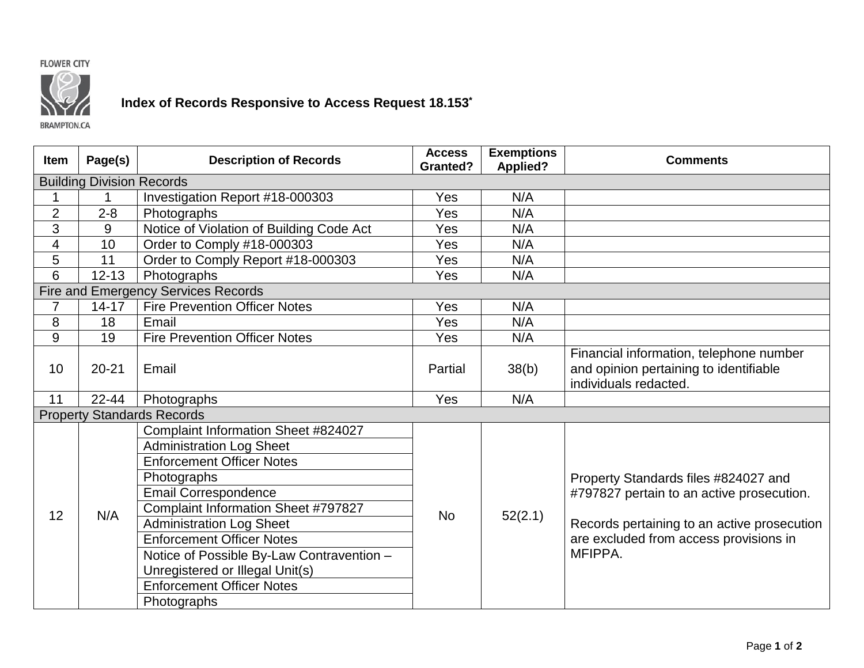



## **Index of Records Responsive to Access Request 18.153\***

**BRAMPTON.CA** 

| <b>Item</b>                         | Page(s)   | <b>Description of Records</b>             | <b>Access</b><br><b>Granted?</b> | <b>Exemptions</b><br><b>Applied?</b> | <b>Comments</b>                                                                                            |  |  |  |  |
|-------------------------------------|-----------|-------------------------------------------|----------------------------------|--------------------------------------|------------------------------------------------------------------------------------------------------------|--|--|--|--|
| <b>Building Division Records</b>    |           |                                           |                                  |                                      |                                                                                                            |  |  |  |  |
|                                     | 1         | Investigation Report #18-000303           | Yes                              | N/A                                  |                                                                                                            |  |  |  |  |
| $\overline{2}$                      | $2 - 8$   | Photographs                               | Yes                              | N/A                                  |                                                                                                            |  |  |  |  |
| 3                                   | 9         | Notice of Violation of Building Code Act  | Yes                              | N/A                                  |                                                                                                            |  |  |  |  |
| 4                                   | 10        | Order to Comply #18-000303                | Yes                              | N/A                                  |                                                                                                            |  |  |  |  |
| 5                                   | 11        | Order to Comply Report #18-000303         | Yes                              | N/A                                  |                                                                                                            |  |  |  |  |
| 6                                   | $12 - 13$ | Photographs                               | Yes                              | N/A                                  |                                                                                                            |  |  |  |  |
| Fire and Emergency Services Records |           |                                           |                                  |                                      |                                                                                                            |  |  |  |  |
| 7                                   | $14 - 17$ | <b>Fire Prevention Officer Notes</b>      | Yes                              | N/A                                  |                                                                                                            |  |  |  |  |
| 8                                   | 18        | Email                                     | Yes                              | N/A                                  |                                                                                                            |  |  |  |  |
| 9                                   | 19        | <b>Fire Prevention Officer Notes</b>      | Yes                              | N/A                                  |                                                                                                            |  |  |  |  |
| 10                                  | $20 - 21$ | Email                                     | Partial                          | 38(b)                                | Financial information, telephone number<br>and opinion pertaining to identifiable<br>individuals redacted. |  |  |  |  |
| 11                                  | $22 - 44$ | Photographs                               | Yes                              | N/A                                  |                                                                                                            |  |  |  |  |
| <b>Property Standards Records</b>   |           |                                           |                                  |                                      |                                                                                                            |  |  |  |  |
|                                     | N/A       | Complaint Information Sheet #824027       | <b>No</b>                        | 52(2.1)                              |                                                                                                            |  |  |  |  |
|                                     |           | <b>Administration Log Sheet</b>           |                                  |                                      |                                                                                                            |  |  |  |  |
| 12                                  |           | <b>Enforcement Officer Notes</b>          |                                  |                                      |                                                                                                            |  |  |  |  |
|                                     |           | Photographs                               |                                  |                                      | Property Standards files #824027 and<br>#797827 pertain to an active prosecution.                          |  |  |  |  |
|                                     |           | <b>Email Correspondence</b>               |                                  |                                      |                                                                                                            |  |  |  |  |
|                                     |           | Complaint Information Sheet #797827       |                                  |                                      |                                                                                                            |  |  |  |  |
|                                     |           | <b>Administration Log Sheet</b>           |                                  |                                      | Records pertaining to an active prosecution<br>are excluded from access provisions in<br>MFIPPA.           |  |  |  |  |
|                                     |           | <b>Enforcement Officer Notes</b>          |                                  |                                      |                                                                                                            |  |  |  |  |
|                                     |           | Notice of Possible By-Law Contravention - |                                  |                                      |                                                                                                            |  |  |  |  |
|                                     |           | Unregistered or Illegal Unit(s)           |                                  |                                      |                                                                                                            |  |  |  |  |
|                                     |           | <b>Enforcement Officer Notes</b>          |                                  |                                      |                                                                                                            |  |  |  |  |
|                                     |           | Photographs                               |                                  |                                      |                                                                                                            |  |  |  |  |